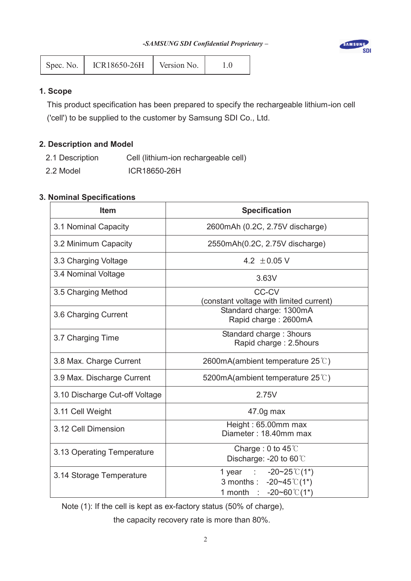

| Spec. No. | ICR18650-26H | Version No. |  |
|-----------|--------------|-------------|--|
|-----------|--------------|-------------|--|

# **1. Scope**

This product specification has been prepared to specify the rechargeable lithium-ion cell ('cell') to be supplied to the customer by Samsung SDI Co., Ltd.

# **2. Description and Model**

- 2.1 Description Cell (lithium-ion rechargeable cell)
- 2.2 Model **ICR18650-26H**

# **3. Nominal Specifications**

| <b>Item</b>                    | <b>Specification</b>                                                                                                   |  |  |
|--------------------------------|------------------------------------------------------------------------------------------------------------------------|--|--|
| 3.1 Nominal Capacity           | 2600mAh (0.2C, 2.75V discharge)                                                                                        |  |  |
| 3.2 Minimum Capacity           | 2550mAh(0.2C, 2.75V discharge)                                                                                         |  |  |
| 3.3 Charging Voltage           | 4.2 $\pm$ 0.05 V                                                                                                       |  |  |
| 3.4 Nominal Voltage            | 3.63V                                                                                                                  |  |  |
| 3.5 Charging Method            | CC-CV<br>(constant voltage with limited current)                                                                       |  |  |
| 3.6 Charging Current           | Standard charge: 1300mA<br>Rapid charge: 2600mA                                                                        |  |  |
| 3.7 Charging Time              | Standard charge: 3hours<br>Rapid charge: 2.5hours                                                                      |  |  |
| 3.8 Max. Charge Current        | 2600mA(ambient temperature $25^{\circ}$ )                                                                              |  |  |
| 3.9 Max. Discharge Current     | 5200mA(ambient temperature $25^{\circ}$ C)                                                                             |  |  |
| 3.10 Discharge Cut-off Voltage | 2.75V                                                                                                                  |  |  |
| 3.11 Cell Weight               | 47.0g max                                                                                                              |  |  |
| 3.12 Cell Dimension            | Height: 65.00mm max<br>Diameter: 18.40mm max                                                                           |  |  |
| 3.13 Operating Temperature     | Charge: 0 to $45^{\circ}$ C<br>Discharge: -20 to 60 °C                                                                 |  |  |
| 3.14 Storage Temperature       | 1 year : $-20-25 \text{ }^{\circ} \text{C} (1^*)$<br>3 months : $-20-45^{\circ}C(1^{*})$<br>1 month : $-20-60$ °C (1*) |  |  |

Note (1): If the cell is kept as ex-factory status (50% of charge),

the capacity recovery rate is more than 80%.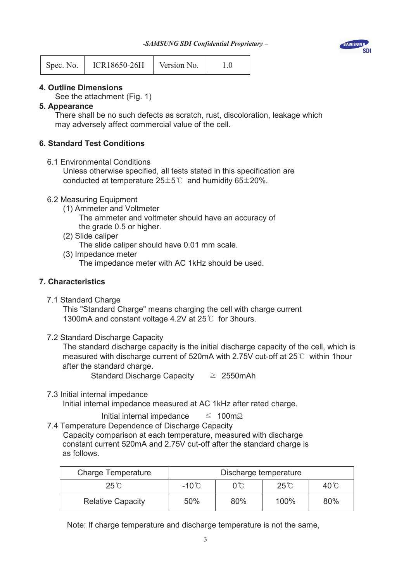

### **4. Outline Dimensions**

See the attachment (Fig. 1)

Spec. No. | ICR18650-26H | Version No. | 1.0

#### **5. Appearance**

 There shall be no such defects as scratch, rust, discoloration, leakage which may adversely affect commercial value of the cell.

### **6. Standard Test Conditions**

6.1 Environmental Conditions

 Unless otherwise specified, all tests stated in this specification are conducted at temperature  $25\pm5\degree$  and humidity 65 $\pm$ 20%.

#### 6.2 Measuring Equipment

(1) Ammeter and Voltmeter

The ammeter and voltmeter should have an accuracy of

- the grade 0.5 or higher.
- (2) Slide caliper

The slide caliper should have 0.01 mm scale.

(3) Impedance meter

The impedance meter with AC 1kHz should be used.

### **7. Characteristics**

7.1 Standard Charge

 This "Standard Charge" means charging the cell with charge current 1300mA and constant voltage 4.2V at  $25^{\circ}$  for 3hours.

7.2 Standard Discharge Capacity

 The standard discharge capacity is the initial discharge capacity of the cell, which is measured with discharge current of 520mA with 2.75V cut-off at 25 $\degree$  within 1hour after the standard charge.

Standard Discharge Capacity  $\geq 2550$ mAh

7.3 Initial internal impedance

Initial internal impedance measured at AC 1kHz after rated charge.

- Initial internal impedance  $\leq 100 \text{m}\Omega$
- 7.4 Temperature Dependence of Discharge Capacity Capacity comparison at each temperature, measured with discharge constant current 520mA and 2.75V cut-off after the standard charge is as follows.

| <b>Charge Temperature</b> | Discharge temperature                                     |     |      |     |
|---------------------------|-----------------------------------------------------------|-----|------|-----|
| $25^\circ$ C              | $-10^{\circ}$ C<br>$25^\circ$ C<br>$40^{\circ}$ C<br>O°C. |     |      |     |
| <b>Relative Capacity</b>  | 50%                                                       | 80% | 100% | 80% |

Note: If charge temperature and discharge temperature is not the same,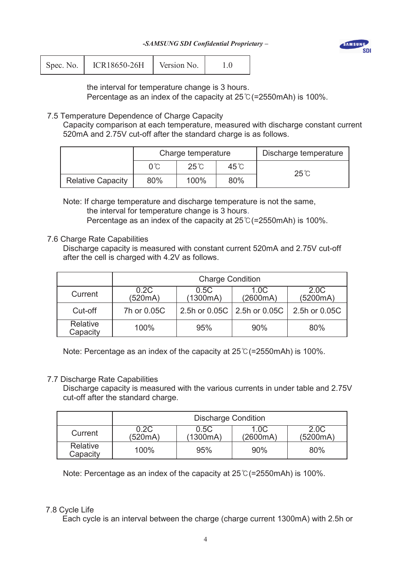

| Spec. No. | ICR18650-26H | Version No. |  |
|-----------|--------------|-------------|--|
|           |              |             |  |

the interval for temperature change is 3 hours.

Percentage as an index of the capacity at  $25^{\circ}$  (=2550mAh) is 100%.

# 7.5 Temperature Dependence of Charge Capacity

 Capacity comparison at each temperature, measured with discharge constant current 520mA and 2.75V cut-off after the standard charge is as follows.

|                          | Charge temperature |              |                | Discharge temperature |
|--------------------------|--------------------|--------------|----------------|-----------------------|
|                          | $0^{\circ}$ C      | $25^\circ$ C | $45^{\circ}$ C | 25 °C                 |
| <b>Relative Capacity</b> | 80%                | 100%         | 80%            |                       |

 Note: If charge temperature and discharge temperature is not the same, the interval for temperature change is 3 hours. Percentage as an index of the capacity at  $25^{\circ}$  (=2550mAh) is 100%.

### 7.6 Charge Rate Capabilities

Discharge capacity is measured with constant current 520mA and 2.75V cut-off after the cell is charged with 4.2V as follows.

|                      | <b>Charge Condition</b>                                                     |     |                               |               |  |
|----------------------|-----------------------------------------------------------------------------|-----|-------------------------------|---------------|--|
| Current              | 0.2C<br>2.0C<br>0.5C<br>1.0C<br>(520mA)<br>(5200mA)<br>(1300mA)<br>(2600mA) |     |                               |               |  |
| Cut-off              | 7h or 0.05C                                                                 |     | 2.5h or 0.05C   2.5h or 0.05C | 2.5h or 0.05C |  |
| Relative<br>Capacity | 100%                                                                        | 95% | 90%                           | 80%           |  |

Note: Percentage as an index of the capacity at  $25^{\circ}$  (=2550mAh) is 100%.

### 7.7 Discharge Rate Capabilities

Discharge capacity is measured with the various currents in under table and 2.75V cut-off after the standard charge.

|                      | <b>Discharge Condition</b> |                  |                  |                  |
|----------------------|----------------------------|------------------|------------------|------------------|
| Current              | 0.2C<br>(520mA)            | 0.5C<br>(1300mA) | 1.0C<br>(2600mA) | 2.0C<br>(5200mA) |
| Relative<br>Capacity | 100%                       | 95%              | 90%              | 80%              |

Note: Percentage as an index of the capacity at  $25^{\circ}$  (=2550mAh) is 100%.

### 7.8 Cycle Life

Each cycle is an interval between the charge (charge current 1300mA) with 2.5h or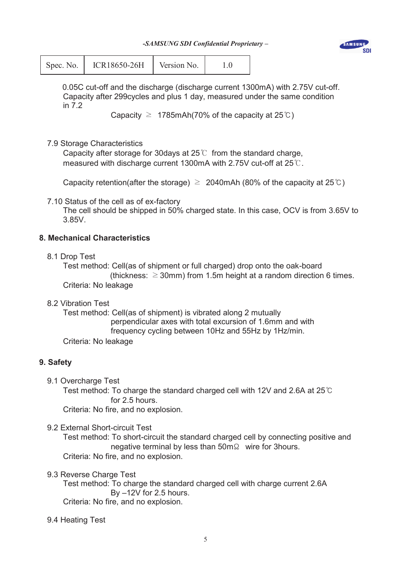*-SAMSUNG SDI Confidential Proprietary –*



| Spec. No. | <b>ICR18650-26H</b> | Version No. |  |
|-----------|---------------------|-------------|--|
|-----------|---------------------|-------------|--|

0.05C cut-off and the discharge (discharge current 1300mA) with 2.75V cut-off. Capacity after 299cycles and plus 1 day, measured under the same condition in 7.2

Capacity  $\geq$  1785mAh(70% of the capacity at 25°C)

# 7.9 Storage Characteristics

Capacity after storage for 30 days at  $25^{\circ}$  from the standard charge, measured with discharge current 1300mA with 2.75V cut-off at  $25\degree$ .

Capacity retention(after the storage)  $\geq 2040$ mAh (80% of the capacity at 25°C)

7.10 Status of the cell as of ex-factory

 The cell should be shipped in 50% charged state. In this case, OCV is from 3.65V to 3.85V.

# **8. Mechanical Characteristics**

8.1 Drop Test

Test method: Cell(as of shipment or full charged) drop onto the oak-board (thickness:  $\geq$  30mm) from 1.5m height at a random direction 6 times. Criteria: No leakage

8.2 Vibration Test

 Test method: Cell(as of shipment) is vibrated along 2 mutually perpendicular axes with total excursion of 1.6mm and with frequency cycling between 10Hz and 55Hz by 1Hz/min.

Criteria: No leakage

# **9. Safety**

9.1 Overcharge Test

Test method: To charge the standard charged cell with 12V and 2.6A at 25 $\degree$ C for 2.5 hours.

Criteria: No fire, and no explosion.

9.2 External Short-circuit Test

 Test method: To short-circuit the standard charged cell by connecting positive and negative terminal by less than 50mȳ wire for 3hours. Criteria: No fire, and no explosion.

9.3 Reverse Charge Test

Test method: To charge the standard charged cell with charge current 2.6A By –12V for 2.5 hours. Criteria: No fire, and no explosion.

9.4 Heating Test